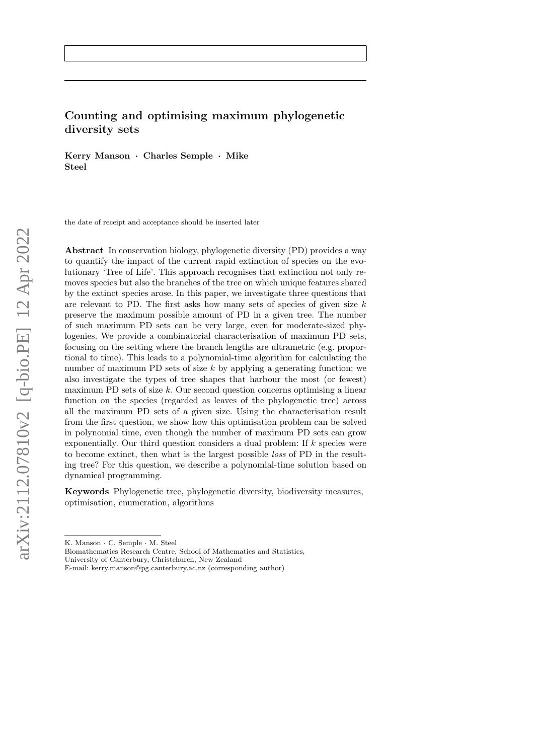# Counting and optimising maximum phylogenetic diversity sets

Kerry Manson · Charles Semple · Mike Steel

the date of receipt and acceptance should be inserted later

Abstract In conservation biology, phylogenetic diversity (PD) provides a way to quantify the impact of the current rapid extinction of species on the evolutionary 'Tree of Life'. This approach recognises that extinction not only removes species but also the branches of the tree on which unique features shared by the extinct species arose. In this paper, we investigate three questions that are relevant to PD. The first asks how many sets of species of given size  $k$ preserve the maximum possible amount of PD in a given tree. The number of such maximum PD sets can be very large, even for moderate-sized phylogenies. We provide a combinatorial characterisation of maximum PD sets, focusing on the setting where the branch lengths are ultrametric (e.g. proportional to time). This leads to a polynomial-time algorithm for calculating the number of maximum PD sets of size  $k$  by applying a generating function; we also investigate the types of tree shapes that harbour the most (or fewest) maximum PD sets of size  $k$ . Our second question concerns optimising a linear function on the species (regarded as leaves of the phylogenetic tree) across all the maximum PD sets of a given size. Using the characterisation result from the first question, we show how this optimisation problem can be solved in polynomial time, even though the number of maximum PD sets can grow exponentially. Our third question considers a dual problem: If  $k$  species were to become extinct, then what is the largest possible loss of PD in the resulting tree? For this question, we describe a polynomial-time solution based on dynamical programming.

Keywords Phylogenetic tree, phylogenetic diversity, biodiversity measures, optimisation, enumeration, algorithms

Biomathematics Research Centre, School of Mathematics and Statistics, University of Canterbury, Christchurch, New Zealand

K. Manson · C. Semple · M. Steel

E-mail: kerry.manson@pg.canterbury.ac.nz (corresponding author)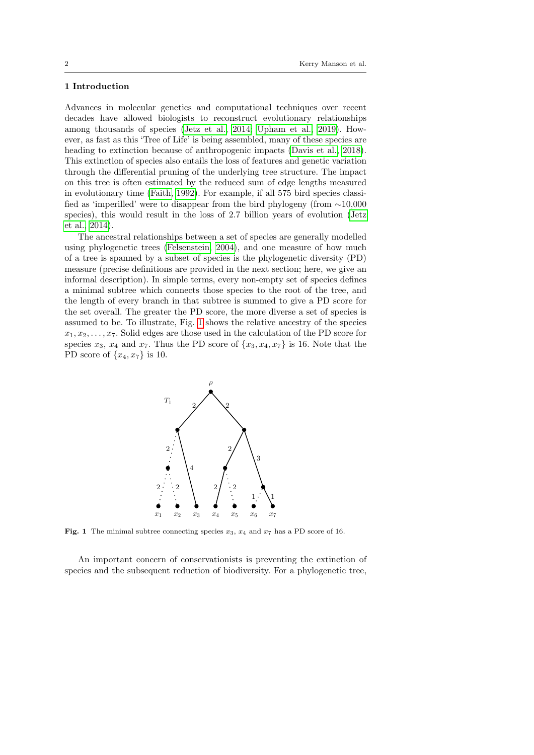# 1 Introduction

Advances in molecular genetics and computational techniques over recent decades have allowed biologists to reconstruct evolutionary relationships among thousands of species [\(Jetz et al., 2014;](#page-22-0) [Upham et al., 2019\)](#page-23-0). However, as fast as this 'Tree of Life' is being assembled, many of these species are heading to extinction because of anthropogenic impacts [\(Davis et al., 2018\)](#page-22-1). This extinction of species also entails the loss of features and genetic variation through the differential pruning of the underlying tree structure. The impact on this tree is often estimated by the reduced sum of edge lengths measured in evolutionary time [\(Faith, 1992\)](#page-22-2). For example, if all 575 bird species classified as 'imperilled' were to disappear from the bird phylogeny (from ∼10,000 species), this would result in the loss of 2.7 billion years of evolution [\(Jetz](#page-22-0) [et al., 2014\)](#page-22-0).

The ancestral relationships between a set of species are generally modelled using phylogenetic trees [\(Felsenstein, 2004\)](#page-22-3), and one measure of how much of a tree is spanned by a subset of species is the phylogenetic diversity (PD) measure (precise definitions are provided in the next section; here, we give an informal description). In simple terms, every non-empty set of species defines a minimal subtree which connects those species to the root of the tree, and the length of every branch in that subtree is summed to give a PD score for the set overall. The greater the PD score, the more diverse a set of species is assumed to be. To illustrate, Fig. [1](#page-1-0) shows the relative ancestry of the species  $x_1, x_2, \ldots, x_7$ . Solid edges are those used in the calculation of the PD score for species  $x_3$ ,  $x_4$  and  $x_7$ . Thus the PD score of  $\{x_3, x_4, x_7\}$  is 16. Note that the PD score of  $\{x_4, x_7\}$  is 10.



<span id="page-1-0"></span>Fig. 1 The minimal subtree connecting species  $x_3$ ,  $x_4$  and  $x_7$  has a PD score of 16.

An important concern of conservationists is preventing the extinction of species and the subsequent reduction of biodiversity. For a phylogenetic tree,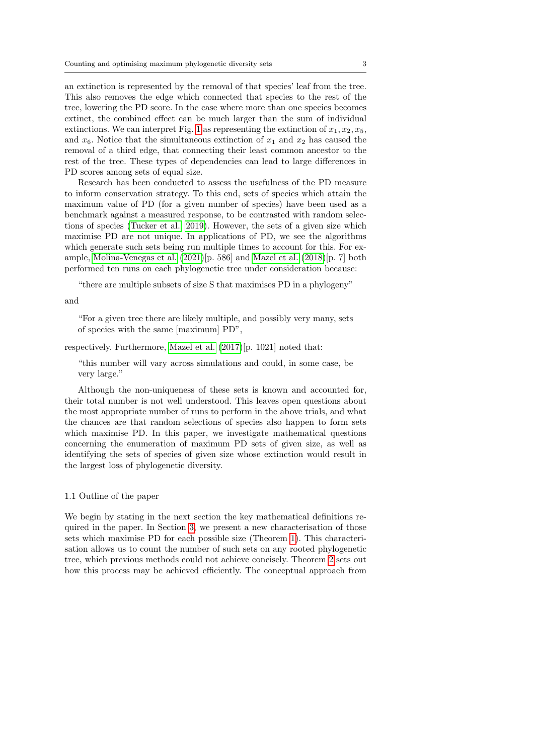an extinction is represented by the removal of that species' leaf from the tree. This also removes the edge which connected that species to the rest of the tree, lowering the PD score. In the case where more than one species becomes extinct, the combined effect can be much larger than the sum of individual extinctions. We can interpret Fig. [1](#page-1-0) as representing the extinction of  $x_1, x_2, x_5$ , and  $x_6$ . Notice that the simultaneous extinction of  $x_1$  and  $x_2$  has caused the removal of a third edge, that connecting their least common ancestor to the rest of the tree. These types of dependencies can lead to large differences in PD scores among sets of equal size.

Research has been conducted to assess the usefulness of the PD measure to inform conservation strategy. To this end, sets of species which attain the maximum value of PD (for a given number of species) have been used as a benchmark against a measured response, to be contrasted with random selections of species [\(Tucker et al., 2019\)](#page-23-1). However, the sets of a given size which maximise PD are not unique. In applications of PD, we see the algorithms which generate such sets being run multiple times to account for this. For example, [Molina-Venegas et al.](#page-23-2) [\(2021\)](#page-23-2)[p. 586] and [Mazel et al.](#page-23-3) [\(2018\)](#page-23-3)[p. 7] both performed ten runs on each phylogenetic tree under consideration because:

"there are multiple subsets of size S that maximises PD in a phylogeny"

### and

"For a given tree there are likely multiple, and possibly very many, sets of species with the same [maximum] PD",

respectively. Furthermore, [Mazel et al.](#page-23-4) [\(2017\)](#page-23-4)[p. 1021] noted that:

"this number will vary across simulations and could, in some case, be very large."

Although the non-uniqueness of these sets is known and accounted for, their total number is not well understood. This leaves open questions about the most appropriate number of runs to perform in the above trials, and what the chances are that random selections of species also happen to form sets which maximise PD. In this paper, we investigate mathematical questions concerning the enumeration of maximum PD sets of given size, as well as identifying the sets of species of given size whose extinction would result in the largest loss of phylogenetic diversity.

### 1.1 Outline of the paper

We begin by stating in the next section the key mathematical definitions required in the paper. In Section [3,](#page-4-0) we present a new characterisation of those sets which maximise PD for each possible size (Theorem [1\)](#page-8-0). This characterisation allows us to count the number of such sets on any rooted phylogenetic tree, which previous methods could not achieve concisely. Theorem [2](#page-10-0) sets out how this process may be achieved efficiently. The conceptual approach from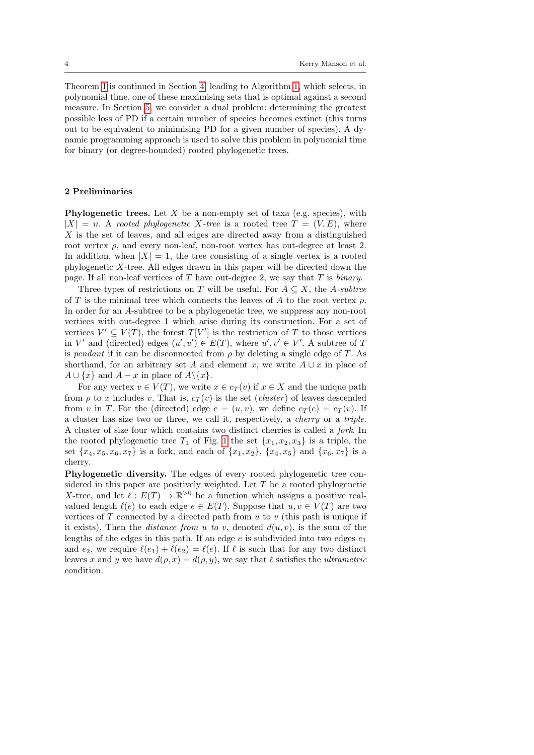Theorem [1](#page-8-0) is continued in Section [4,](#page-14-0) leading to Algorithm [1,](#page-16-0) which selects, in polynomial time, one of these maximising sets that is optimal against a second measure. In Section [5,](#page-18-0) we consider a dual problem: determining the greatest possible loss of PD if a certain number of species becomes extinct (this turns out to be equivalent to minimising PD for a given number of species). A dynamic programming approach is used to solve this problem in polynomial time for binary (or degree-bounded) rooted phylogenetic trees.

# 2 Preliminaries

**Phylogenetic trees.** Let X be a non-empty set of taxa (e.g. species), with  $|X| = n$ . A rooted phylogenetic X-tree is a rooted tree  $T = (V, E)$ , where  $X$  is the set of leaves, and all edges are directed away from a distinguished root vertex  $\rho$ , and every non-leaf, non-root vertex has out-degree at least 2. In addition, when  $|X| = 1$ , the tree consisting of a single vertex is a rooted phylogenetic X-tree. All edges drawn in this paper will be directed down the page. If all non-leaf vertices of  $T$  have out-degree 2, we say that  $T$  is *binary*.

Three types of restrictions on T will be useful. For  $A \subseteq X$ , the A-subtree of T is the minimal tree which connects the leaves of A to the root vertex  $\rho$ . In order for an A-subtree to be a phylogenetic tree, we suppress any non-root vertices with out-degree 1 which arise during its construction. For a set of vertices  $V' \subseteq V(T)$ , the forest  $T[V']$  is the restriction of T to those vertices in V' and (directed) edges  $(u', v') \in E(T)$ , where  $u', v' \in V'$ . A subtree of T is pendant if it can be disconnected from  $\rho$  by deleting a single edge of T. As shorthand, for an arbitrary set A and element x, we write  $A \cup x$  in place of  $A \cup \{x\}$  and  $A - x$  in place of  $A \setminus \{x\}.$ 

For any vertex  $v \in V(T)$ , we write  $x \in c_T(v)$  if  $x \in X$  and the unique path from  $\rho$  to x includes v. That is,  $c_T(v)$  is the set (cluster) of leaves descended from v in T. For the (directed) edge  $e = (u, v)$ , we define  $c_T(e) = c_T(v)$ . If a cluster has size two or three, we call it, respectively, a cherry or a triple. A cluster of size four which contains two distinct cherries is called a fork. In the rooted phylogenetic tree  $T_1$  of Fig. [1](#page-1-0) the set  $\{x_1, x_2, x_3\}$  is a triple, the set  $\{x_4, x_5, x_6, x_7\}$  is a fork, and each of  $\{x_1, x_2\}$ ,  $\{x_4, x_5\}$  and  $\{x_6, x_7\}$  is a cherry.

Phylogenetic diversity. The edges of every rooted phylogenetic tree considered in this paper are positively weighted. Let T be a rooted phylogenetic X-tree, and let  $\ell : E(T) \to \mathbb{R}^{>0}$  be a function which assigns a positive realvalued length  $\ell(e)$  to each edge  $e \in E(T)$ . Suppose that  $u, v \in V(T)$  are two vertices of  $T$  connected by a directed path from  $u$  to  $v$  (this path is unique if it exists). Then the *distance from u to v*, denoted  $d(u, v)$ , is the sum of the lengths of the edges in this path. If an edge  $e$  is subdivided into two edges  $e_1$ and  $e_2$ , we require  $\ell(e_1) + \ell(e_2) = \ell(e)$ . If  $\ell$  is such that for any two distinct leaves x and y we have  $d(\rho, x) = d(\rho, y)$ , we say that  $\ell$  satisfies the ultrametric condition.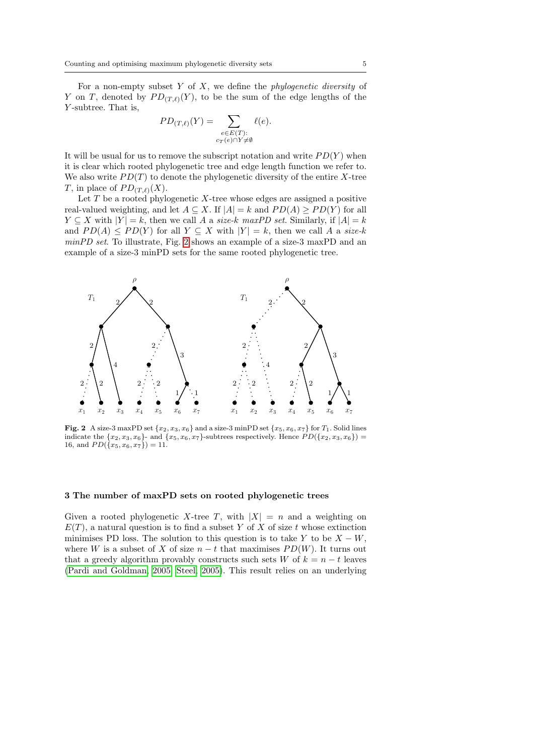For a non-empty subset  $Y$  of  $X$ , we define the *phylogenetic diversity* of Y on T, denoted by  $PD_{(T,\ell)}(Y)$ , to be the sum of the edge lengths of the Y-subtree. That is,

$$
PD_{(T,\ell)}(Y) = \sum_{\substack{e \in E(T):\\c_T(e) \cap Y \neq \emptyset}} \ell(e).
$$

It will be usual for us to remove the subscript notation and write  $PD(Y)$  when it is clear which rooted phylogenetic tree and edge length function we refer to. We also write  $PD(T)$  to denote the phylogenetic diversity of the entire X-tree T, in place of  $PD_{(T,\ell)}(X)$ .

Let  $T$  be a rooted phylogenetic  $X$ -tree whose edges are assigned a positive real-valued weighting, and let  $A \subseteq X$ . If  $|A| = k$  and  $PD(A) \geq PD(Y)$  for all  $Y \subseteq X$  with  $|Y| = k$ , then we call A a size-k maxPD set. Similarly, if  $|A| = k$ and  $PD(A) \leq PD(Y)$  for all  $Y \subseteq X$  with  $|Y| = k$ , then we call A a size-k minPD set. To illustrate, Fig. [2](#page-4-1) shows an example of a size-3 maxPD and an example of a size-3 minPD sets for the same rooted phylogenetic tree.



<span id="page-4-1"></span>Fig. 2 A size-3 maxPD set  $\{x_2, x_3, x_6\}$  and a size-3 minPD set  $\{x_5, x_6, x_7\}$  for  $T_1$ . Solid lines indicate the  $\{x_2, x_3, x_6\}$ - and  $\{x_5, x_6, x_7\}$ -subtrees respectively. Hence  $PD(\{x_2, x_3, x_6\})$  = 16, and  $PD({x_5, x_6, x_7}) = 11.$ 

# <span id="page-4-0"></span>3 The number of maxPD sets on rooted phylogenetic trees

Given a rooted phylogenetic X-tree T, with  $|X| = n$  and a weighting on  $E(T)$ , a natural question is to find a subset Y of X of size t whose extinction minimises PD loss. The solution to this question is to take Y to be  $X - W$ . where W is a subset of X of size  $n - t$  that maximises  $PD(W)$ . It turns out that a greedy algorithm provably constructs such sets W of  $k = n - t$  leaves [\(Pardi and Goldman, 2005;](#page-23-5) [Steel, 2005\)](#page-23-6). This result relies on an underlying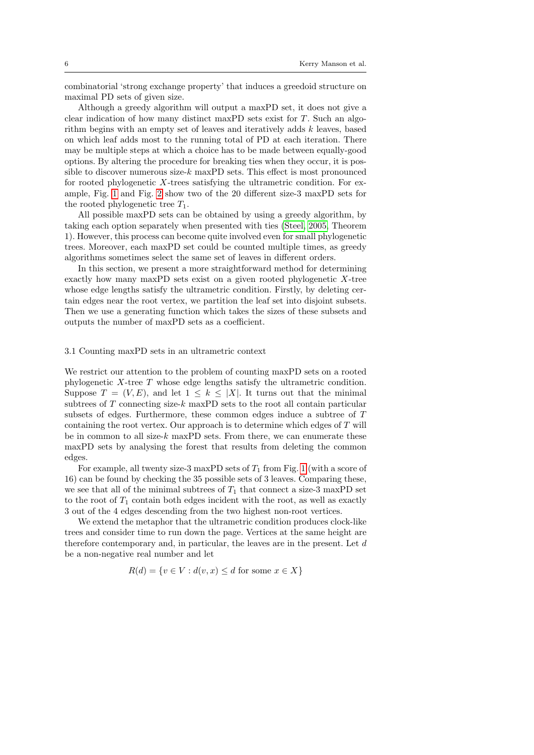combinatorial 'strong exchange property' that induces a greedoid structure on maximal PD sets of given size.

Although a greedy algorithm will output a maxPD set, it does not give a clear indication of how many distinct maxPD sets exist for  $T$ . Such an algorithm begins with an empty set of leaves and iteratively adds  $k$  leaves, based on which leaf adds most to the running total of PD at each iteration. There may be multiple steps at which a choice has to be made between equally-good options. By altering the procedure for breaking ties when they occur, it is possible to discover numerous size- $k$  maxPD sets. This effect is most pronounced for rooted phylogenetic X-trees satisfying the ultrametric condition. For example, Fig. [1](#page-1-0) and Fig. [2](#page-4-1) show two of the 20 different size-3 maxPD sets for the rooted phylogenetic tree  $T_1$ .

All possible maxPD sets can be obtained by using a greedy algorithm, by taking each option separately when presented with ties [\(Steel, 2005,](#page-23-6) Theorem 1). However, this process can become quite involved even for small phylogenetic trees. Moreover, each maxPD set could be counted multiple times, as greedy algorithms sometimes select the same set of leaves in different orders.

In this section, we present a more straightforward method for determining exactly how many maxPD sets exist on a given rooted phylogenetic X-tree whose edge lengths satisfy the ultrametric condition. Firstly, by deleting certain edges near the root vertex, we partition the leaf set into disjoint subsets. Then we use a generating function which takes the sizes of these subsets and outputs the number of maxPD sets as a coefficient.

### 3.1 Counting maxPD sets in an ultrametric context

We restrict our attention to the problem of counting maxPD sets on a rooted phylogenetic X-tree T whose edge lengths satisfy the ultrametric condition. Suppose  $T = (V, E)$ , and let  $1 \leq k \leq |X|$ . It turns out that the minimal subtrees of  $T$  connecting size- $k$  maxPD sets to the root all contain particular subsets of edges. Furthermore, these common edges induce a subtree of T containing the root vertex. Our approach is to determine which edges of T will be in common to all size- $k$  maxPD sets. From there, we can enumerate these maxPD sets by analysing the forest that results from deleting the common edges.

For example, all twenty size-3 maxPD sets of  $T_1$  from Fig. [1](#page-1-0) (with a score of 16) can be found by checking the 35 possible sets of 3 leaves. Comparing these, we see that all of the minimal subtrees of  $T_1$  that connect a size-3 maxPD set to the root of  $T_1$  contain both edges incident with the root, as well as exactly 3 out of the 4 edges descending from the two highest non-root vertices.

We extend the metaphor that the ultrametric condition produces clock-like trees and consider time to run down the page. Vertices at the same height are therefore contemporary and, in particular, the leaves are in the present. Let d be a non-negative real number and let

$$
R(d) = \{ v \in V : d(v, x) \le d \text{ for some } x \in X \}
$$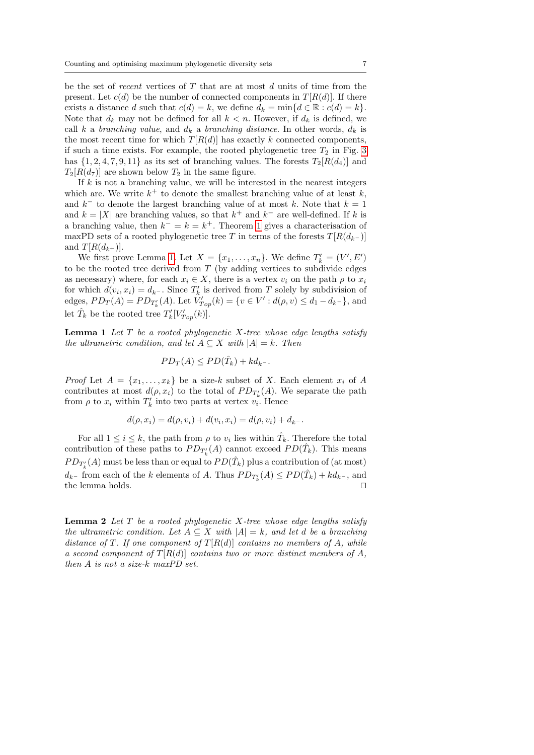be the set of recent vertices of  $T$  that are at most  $d$  units of time from the present. Let  $c(d)$  be the number of connected components in  $T[R(d)]$ . If there exists a distance d such that  $c(d) = k$ , we define  $d_k = \min\{d \in \mathbb{R} : c(d) = k\}.$ Note that  $d_k$  may not be defined for all  $k < n$ . However, if  $d_k$  is defined, we call k a branching value, and  $d_k$  a branching distance. In other words,  $d_k$  is the most recent time for which  $T[R(d)]$  has exactly k connected components, if such a time exists. For example, the rooted phylogenetic tree  $T_2$  in Fig. [3](#page-7-0) has  $\{1, 2, 4, 7, 9, 11\}$  as its set of branching values. The forests  $T_2[R(d_4)]$  and  $T_2[R(d_7)]$  are shown below  $T_2$  in the same figure.

If  $k$  is not a branching value, we will be interested in the nearest integers which are. We write  $k^+$  to denote the smallest branching value of at least  $k$ , and  $k^-$  to denote the largest branching value of at most k. Note that  $k = 1$ and  $k = |X|$  are branching values, so that  $k^+$  and  $k^-$  are well-defined. If k is a branching value, then  $k^- = k = k^+$ . Theorem [1](#page-8-0) gives a characterisation of maxPD sets of a rooted phylogenetic tree T in terms of the forests  $T[R(d_{k-})]$ and  $T[R(d_{k+})]$ .

We first prove Lemma [1.](#page-6-0) Let  $X = \{x_1, \ldots, x_n\}$ . We define  $T'_k = (V', E')$ to be the rooted tree derived from  $T$  (by adding vertices to subdivide edges as necessary) where, for each  $x_i \in X$ , there is a vertex  $v_i$  on the path  $\rho$  to  $x_i$ for which  $d(v_i, x_i) = d_{k^-}$ . Since  $T'_k$  is derived from T solely by subdivision of edges,  $PD_T(A) = PD_{T'_{k}}(A)$ . Let  $V'_{Top}(k) = \{v \in V' : d(\rho, v) \leq d_1 - d_{k-}\}\$ , and let  $\hat{T}_k$  be the rooted tree  $T'_k[V'_{Top}(k)]$ .

<span id="page-6-0"></span>**Lemma 1** Let  $T$  be a rooted phylogenetic  $X$ -tree whose edge lengths satisfy the ultrametric condition, and let  $A \subseteq X$  with  $|A| = k$ . Then

$$
PD_T(A) \le PD(\hat{T}_k) + kd_k.
$$

*Proof* Let  $A = \{x_1, \ldots, x_k\}$  be a size-k subset of X. Each element  $x_i$  of A contributes at most  $d(\rho, x_i)$  to the total of  $PD_{T'_{k}}(A)$ . We separate the path from  $\rho$  to  $x_i$  within  $T'_k$  into two parts at vertex  $v_i$ . Hence

$$
d(\rho, x_i) = d(\rho, v_i) + d(v_i, x_i) = d(\rho, v_i) + d_{k^-}.
$$

For all  $1 \leq i \leq k$ , the path from  $\rho$  to  $v_i$  lies within  $\hat{T}_k$ . Therefore the total contribution of these paths to  $PD_{T'_{k}}(A)$  cannot exceed  $PD(\hat{T}_{k})$ . This means  $PD_{T'_{k}}(A)$  must be less than or equal to  $PD(\hat{T}_{k})$  plus a contribution of (at most)  $d_{k-}$  from each of the k elements of A. Thus  $PD_{T'_{k}}(A) \leq PD(\hat{T}_{k}) + kd_{k-}$ , and the lemma holds.  $\Box$ 

<span id="page-6-1"></span>**Lemma 2** Let  $T$  be a rooted phylogenetic  $X$ -tree whose edge lengths satisfy the ultrametric condition. Let  $A \subseteq X$  with  $|A| = k$ , and let d be a branching distance of T. If one component of  $T[R(d)]$  contains no members of A, while a second component of  $T[R(d)]$  contains two or more distinct members of A, then A is not a size-k maxPD set.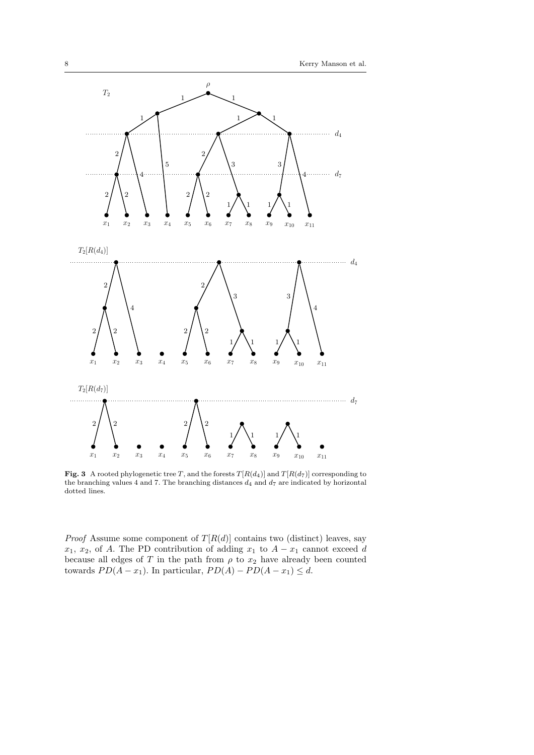

<span id="page-7-0"></span>Fig. 3 A rooted phylogenetic tree T, and the forests  $T[R(d_4)]$  and  $T[R(d_7)]$  corresponding to the branching values 4 and 7. The branching distances  $d_4$  and  $d_7$  are indicated by horizontal dotted lines.

*Proof* Assume some component of  $T[R(d)]$  contains two (distinct) leaves, say  $x_1, x_2$ , of A. The PD contribution of adding  $x_1$  to  $A - x_1$  cannot exceed d because all edges of T in the path from  $\rho$  to  $x_2$  have already been counted towards  $PD(A-x_1)$ . In particular,  $PD(A) - PD(A-x_1) \leq d$ .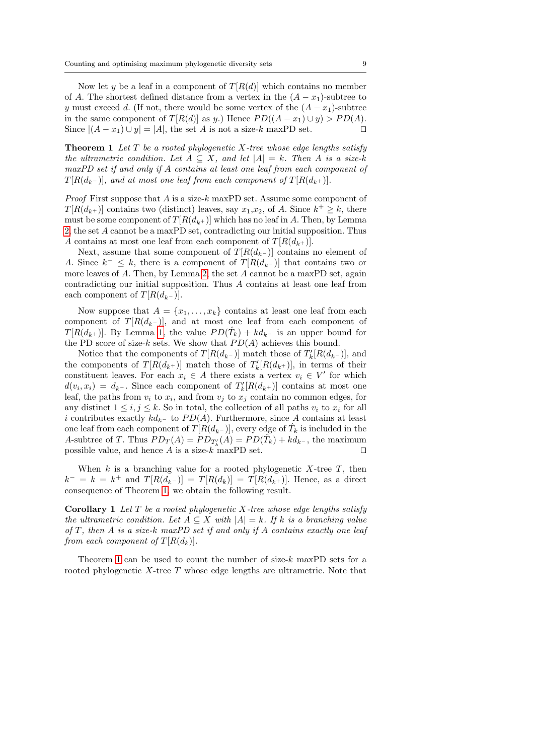Now let y be a leaf in a component of  $T[R(d)]$  which contains no member of A. The shortest defined distance from a vertex in the  $(A - x_1)$ -subtree to y must exceed d. (If not, there would be some vertex of the  $(A - x_1)$ -subtree in the same component of  $T[R(d)]$  as y.) Hence  $PD((A-x_1)\cup y) > PD(A)$ . Since  $|(A - x_1) \cup y| = |A|$ , the set A is not a size-k maxPD set.  $\square$ 

<span id="page-8-0"></span>**Theorem 1** Let T be a rooted phylogenetic X-tree whose edge lengths satisfy the ultrametric condition. Let  $A \subseteq X$ , and let  $|A| = k$ . Then A is a size-k maxPD set if and only if A contains at least one leaf from each component of  $T[R(d_{k-})]$ , and at most one leaf from each component of  $T[R(d_{k+})]$ .

*Proof* First suppose that A is a size-k maxPD set. Assume some component of  $T[R(d_{k+})]$  contains two (distinct) leaves, say  $x_1, x_2$ , of A. Since  $k^+ \geq k$ , there must be some component of  $T[R(d_{k+})]$  which has no leaf in A. Then, by Lemma [2,](#page-6-1) the set A cannot be a maxPD set, contradicting our initial supposition. Thus A contains at most one leaf from each component of  $T[R(d_{k+})]$ .

Next, assume that some component of  $T[R(d_k-)]$  contains no element of A. Since  $k^- \leq k$ , there is a component of  $T[R(d_{k^-})]$  that contains two or more leaves of A. Then, by Lemma [2,](#page-6-1) the set A cannot be a maxPD set, again contradicting our initial supposition. Thus A contains at least one leaf from each component of  $T[R(d_{k-})]$ .

Now suppose that  $A = \{x_1, \ldots, x_k\}$  contains at least one leaf from each component of  $T[R(d_{k-})]$ , and at most one leaf from each component of  $T[R(d_{k+})]$ . By Lemma [1,](#page-6-0) the value  $PD(\hat{T}_k) + kd_{k-}$  is an upper bound for the PD score of size-k sets. We show that  $PD(A)$  achieves this bound.

Notice that the components of  $T[R(d_{k-})]$  match those of  $T'_{k}[R(d_{k-})]$ , and the components of  $T[R(d_{k+})]$  match those of  $T'_{k}[R(d_{k+})]$ , in terms of their constituent leaves. For each  $x_i \in A$  there exists a vertex  $v_i \in V'$  for which  $d(v_i, x_i) = d_{k^-}$ . Since each component of  $T'_k[R(d_{k^+})]$  contains at most one leaf, the paths from  $v_i$  to  $x_i$ , and from  $v_j$  to  $x_j$  contain no common edges, for any distinct  $1 \leq i, j \leq k$ . So in total, the collection of all paths  $v_i$  to  $x_i$  for all i contributes exactly  $kd_k$ – to  $PD(A)$ . Furthermore, since A contains at least one leaf from each component of  $T[R(d_{k}-)]$ , every edge of  $\hat{T}_k$  is included in the A-subtree of T. Thus  $PD_T(A) = PD_{T'_k}(A) = PD(\tilde{T_k}) + kd_{k^-}$ , the maximum possible value, and hence A is a size- $k \text{ maxPD}$  set.

When  $k$  is a branching value for a rooted phylogenetic  $X$ -tree  $T$ , then  $k^- = k = k^+$  and  $T[R(d_{k^-})] = T[R(d_k)] = T[R(d_{k^+})]$ . Hence, as a direct consequence of Theorem [1,](#page-8-0) we obtain the following result.

<span id="page-8-1"></span>**Corollary 1** Let  $T$  be a rooted phylogenetic  $X$ -tree whose edge lengths satisfy the ultrametric condition. Let  $A \subseteq X$  with  $|A| = k$ . If k is a branching value of  $T$ , then  $A$  is a size-k maxPD set if and only if  $A$  contains exactly one leaf from each component of  $T[R(d_k)].$ 

Theorem [1](#page-8-0) can be used to count the number of size- $k$  maxPD sets for a rooted phylogenetic  $X$ -tree  $T$  whose edge lengths are ultrametric. Note that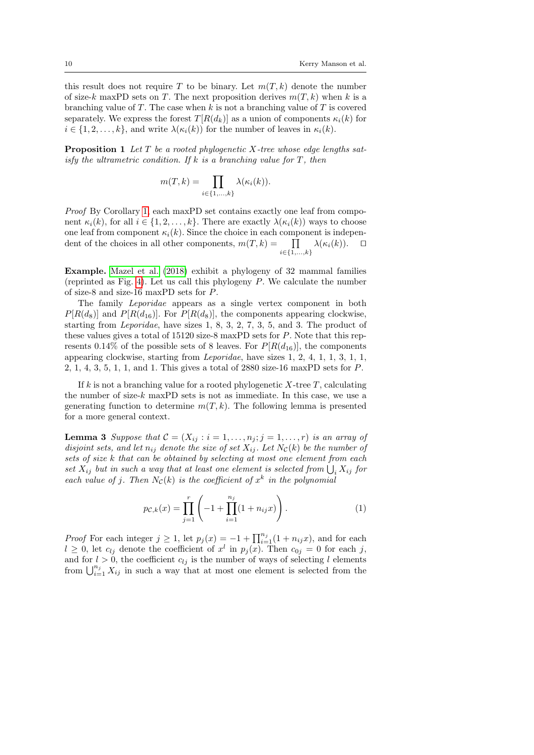this result does not require T to be binary. Let  $m(T, k)$  denote the number of size-k maxPD sets on T. The next proposition derives  $m(T, k)$  when k is a branching value of T. The case when k is not a branching value of  $T$  is covered separately. We express the forest  $T[R(d_k)]$  as a union of components  $\kappa_i(k)$  for  $i \in \{1, 2, \ldots, k\}$ , and write  $\lambda(\kappa_i(k))$  for the number of leaves in  $\kappa_i(k)$ .

<span id="page-9-0"></span>**Proposition 1** Let  $T$  be a rooted phylogenetic  $X$ -tree whose edge lengths satisfy the ultrametric condition. If k is a branching value for  $T$ , then

$$
m(T,k) = \prod_{i \in \{1,\ldots,k\}} \lambda(\kappa_i(k)).
$$

Proof By Corollary [1,](#page-8-1) each maxPD set contains exactly one leaf from component  $\kappa_i(k)$ , for all  $i \in \{1, 2, ..., k\}$ . There are exactly  $\lambda(\kappa_i(k))$  ways to choose one leaf from component  $\kappa_i(k)$ . Since the choice in each component is independent of the choices in all other components,  $m(T, k) = \prod_{\alpha} \lambda(\kappa_i(k))$ .  $\Box$  $i ∈ {1, ..., k}$ 

Example. [Mazel et al.](#page-23-3) [\(2018\)](#page-23-3) exhibit a phylogeny of 32 mammal families (reprinted as Fig. [4\)](#page-10-1). Let us call this phylogeny  $P$ . We calculate the number of size-8 and size-16 maxPD sets for P.

The family Leporidae appears as a single vertex component in both  $P[R(d_8)]$  and  $P[R(d_{16})]$ . For  $P[R(d_8)]$ , the components appearing clockwise, starting from Leporidae, have sizes 1, 8, 3, 2, 7, 3, 5, and 3. The product of these values gives a total of 15120 size-8 maxPD sets for P. Note that this represents 0.14% of the possible sets of 8 leaves. For  $P[R(d_{16})]$ , the components appearing clockwise, starting from Leporidae, have sizes 1, 2, 4, 1, 1, 3, 1, 1, 2, 1, 4, 3, 5, 1, 1, and 1. This gives a total of 2880 size-16 maxPD sets for P.

If k is not a branching value for a rooted phylogenetic  $X$ -tree  $T$ , calculating the number of size- $k$  maxPD sets is not as immediate. In this case, we use a generating function to determine  $m(T, k)$ . The following lemma is presented for a more general context.

**Lemma 3** Suppose that  $C = (X_{ij} : i = 1, \ldots, n_j; j = 1, \ldots, r)$  is an array of disjoint sets, and let  $n_{ij}$  denote the size of set  $X_{ij}$ . Let  $N_{\mathcal{C}}(k)$  be the number of sets of size k that can be obtained by selecting at most one element from each set  $X_{ij}$  but in such a way that at least one element is selected from  $\bigcup_i X_{ij}$  for each value of j. Then  $N_c(k)$  is the coefficient of  $x^k$  in the polynomial

<span id="page-9-1"></span>
$$
p_{\mathcal{C},k}(x) = \prod_{j=1}^r \left( -1 + \prod_{i=1}^{n_j} (1 + n_{ij}x) \right).
$$
 (1)

*Proof* For each integer  $j \geq 1$ , let  $p_j(x) = -1 + \prod_{i=1}^{n_j} (1 + n_{ij}x)$ , and for each  $l \geq 0$ , let  $c_{lj}$  denote the coefficient of  $x^l$  in  $p_j(x)$ . Then  $c_{0j} = 0$  for each j, and for  $l > 0$ , the coefficient  $c_{lj}$  is the number of ways of selecting l elements from  $\bigcup_{i=1}^{n_j} X_{ij}$  in such a way that at most one element is selected from the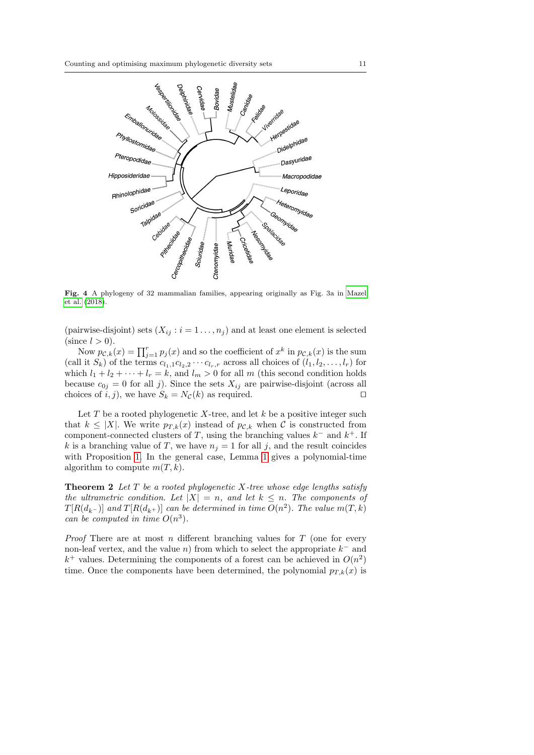

<span id="page-10-1"></span>Fig. 4 A phylogeny of 32 mammalian families, appearing originally as Fig. 3a in [Mazel](#page-23-3) [et al.](#page-23-3) [\(2018\)](#page-23-3).

(pairwise-disjoint) sets  $(X_{ij} : i = 1 \ldots, n_j)$  and at least one element is selected (since  $l > 0$ ).

Now  $p_{\mathcal{C},k}(x) = \prod_{j=1}^r p_j(x)$  and so the coefficient of  $x^k$  in  $p_{\mathcal{C},k}(x)$  is the sum (call it  $S_k$ ) of the terms  $c_{l_1,1}c_{l_2,2}\cdots c_{l_r,r}$  across all choices of  $(l_1, l_2, \ldots, l_r)$  for which  $l_1 + l_2 + \cdots + l_r = k$ , and  $l_m > 0$  for all m (this second condition holds because  $c_{0j} = 0$  for all j). Since the sets  $X_{ij}$  are pairwise-disjoint (across all choices of i, j), we have  $S_k = N_c(k)$  as required.

Let  $T$  be a rooted phylogenetic  $X$ -tree, and let  $k$  be a positive integer such that  $k \leq |X|$ . We write  $p_{T,k}(x)$  instead of  $p_{\mathcal{C},k}$  when C is constructed from component-connected clusters of T, using the branching values  $k^-$  and  $k^+$ . If k is a branching value of T, we have  $n_j = 1$  for all j, and the result coincides with Proposition [1.](#page-9-0) In the general case, Lemma [1](#page-9-1) gives a polynomial-time algorithm to compute  $m(T, k)$ .

<span id="page-10-0"></span>**Theorem 2** Let  $T$  be a rooted phylogenetic  $X$ -tree whose edge lengths satisfy the ultrametric condition. Let  $|X| = n$ , and let  $k \leq n$ . The components of  $T[R(d_{k-})]$  and  $T[R(d_{k+})]$  can be determined in time  $O(n^2)$ . The value  $m(T, k)$ can be computed in time  $O(n^3)$ .

*Proof* There are at most n different branching values for  $T$  (one for every non-leaf vertex, and the value n) from which to select the appropriate  $k^-$  and  $k^+$  values. Determining the components of a forest can be achieved in  $O(n^2)$ time. Once the components have been determined, the polynomial  $p_{T,k}(x)$  is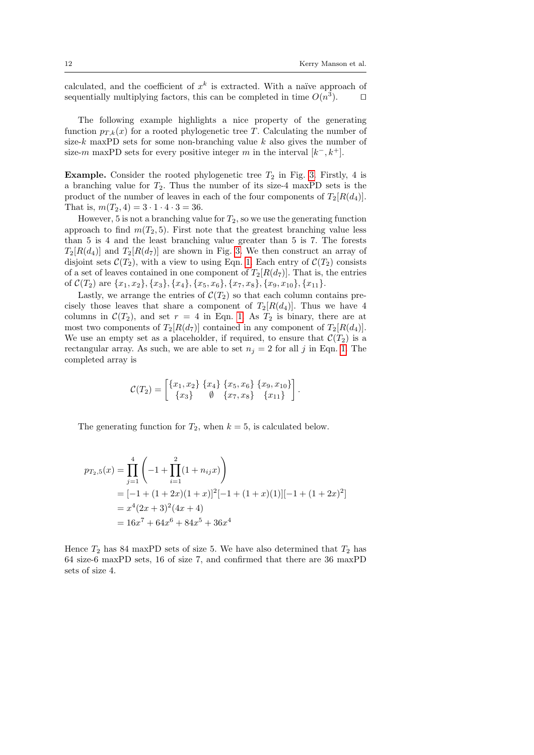calculated, and the coefficient of  $x^k$  is extracted. With a naïve approach of sequentially multiplying factors, this can be completed in time  $O(n^3)$ .

The following example highlights a nice property of the generating function  $p_{T,k}(x)$  for a rooted phylogenetic tree T. Calculating the number of size- $k$  maxPD sets for some non-branching value  $k$  also gives the number of size-m maxPD sets for every positive integer m in the interval  $[k^-, k^+]$ .

**Example.** Consider the rooted phylogenetic tree  $T_2$  in Fig. [3.](#page-7-0) Firstly, 4 is a branching value for  $T_2$ . Thus the number of its size-4 maxPD sets is the product of the number of leaves in each of the four components of  $T_2[R(d_4)]$ . That is,  $m(T_2, 4) = 3 \cdot 1 \cdot 4 \cdot 3 = 36$ .

However, 5 is not a branching value for  $T_2$ , so we use the generating function approach to find  $m(T_2, 5)$ . First note that the greatest branching value less than 5 is 4 and the least branching value greater than 5 is 7. The forests  $T_2[R(d_1)]$  and  $T_2[R(d_7)]$  are shown in Fig. [3.](#page-7-0) We then construct an array of disjoint sets  $\mathcal{C}(T_2)$ , with a view to using Eqn. [1.](#page-9-1) Each entry of  $\mathcal{C}(T_2)$  consists of a set of leaves contained in one component of  $T_2[R(d_7)]$ . That is, the entries of  $\mathcal{C}(T_2)$  are  $\{x_1, x_2\}, \{x_3\}, \{x_4\}, \{x_5, x_6\}, \{x_7, x_8\}, \{x_9, x_{10}\}, \{x_{11}\}.$ 

Lastly, we arrange the entries of  $\mathcal{C}(T_2)$  so that each column contains precisely those leaves that share a component of  $T_2[R(d_4)]$ . Thus we have 4 columns in  $\mathcal{C}(T_2)$ , and set  $r = 4$  in Eqn. [1.](#page-9-1) As  $T_2$  is binary, there are at most two components of  $T_2[R(d_7)]$  contained in any component of  $T_2[R(d_4)]$ . We use an empty set as a placeholder, if required, to ensure that  $\mathcal{C}(T_2)$  is a rectangular array. As such, we are able to set  $n_j = 2$  for all j in Eqn. [1.](#page-9-1) The completed array is

$$
\mathcal{C}(T_2) = \begin{bmatrix} \{x_1, x_2\} & \{x_4\} & \{x_5, x_6\} & \{x_9, x_{10}\} \\ \{x_3\} & \emptyset & \{x_7, x_8\} & \{x_{11}\} \end{bmatrix}.
$$

The generating function for  $T_2$ , when  $k = 5$ , is calculated below.

$$
p_{T_2,5}(x) = \prod_{j=1}^{4} \left( -1 + \prod_{i=1}^{2} (1 + n_{ij}x) \right)
$$
  
= [-1 + (1 + 2x)(1 + x)]<sup>2</sup>[-1 + (1 + x)(1)][-1 + (1 + 2x)<sup>2</sup>]  
= x<sup>4</sup>(2x + 3)<sup>2</sup>(4x + 4)  
= 16x<sup>7</sup> + 64x<sup>6</sup> + 84x<sup>5</sup> + 36x<sup>4</sup>

Hence  $T_2$  has 84 maxPD sets of size 5. We have also determined that  $T_2$  has 64 size-6 maxPD sets, 16 of size 7, and confirmed that there are 36 maxPD sets of size 4.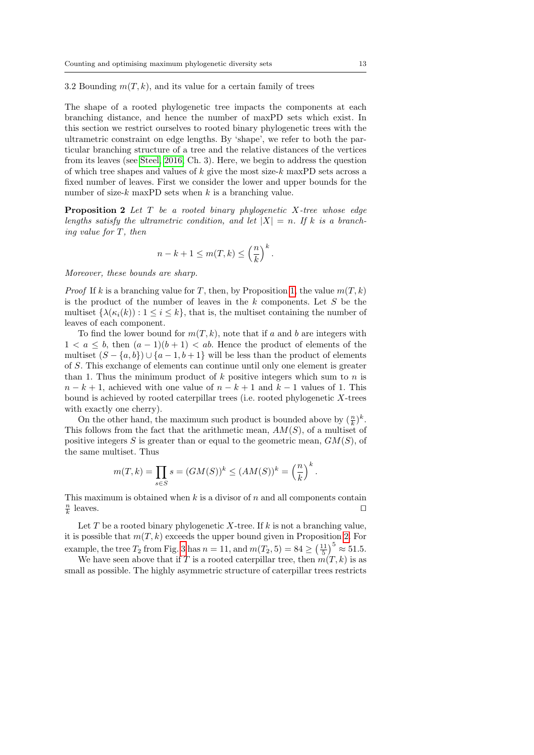3.2 Bounding  $m(T, k)$ , and its value for a certain family of trees

The shape of a rooted phylogenetic tree impacts the components at each branching distance, and hence the number of maxPD sets which exist. In this section we restrict ourselves to rooted binary phylogenetic trees with the ultrametric constraint on edge lengths. By 'shape', we refer to both the particular branching structure of a tree and the relative distances of the vertices from its leaves (see [Steel, 2016,](#page-23-7) Ch. 3). Here, we begin to address the question of which tree shapes and values of  $k$  give the most size- $k$  maxPD sets across a fixed number of leaves. First we consider the lower and upper bounds for the number of size- $k$  maxPD sets when  $k$  is a branching value.

<span id="page-12-0"></span>**Proposition 2** Let  $T$  be a rooted binary phylogenetic  $X$ -tree whose edge lengths satisfy the ultrametric condition, and let  $|X| = n$ . If k is a branching value for T, then

$$
n - k + 1 \le m(T, k) \le \left(\frac{n}{k}\right)^k.
$$

Moreover, these bounds are sharp.

*Proof* If k is a branching value for T, then, by Proposition [1,](#page-9-0) the value  $m(T, k)$ is the product of the number of leaves in the  $k$  components. Let  $S$  be the multiset  $\{\lambda(\kappa_i(k)):1\leq i\leq k\}$ , that is, the multiset containing the number of leaves of each component.

To find the lower bound for  $m(T, k)$ , note that if a and b are integers with  $1 < a \leq b$ , then  $(a-1)(b+1) < ab$ . Hence the product of elements of the multiset  $(S - \{a, b\}) \cup \{a - 1, b + 1\}$  will be less than the product of elements of S. This exchange of elements can continue until only one element is greater than 1. Thus the minimum product of  $k$  positive integers which sum to  $n$  is  $n - k + 1$ , achieved with one value of  $n - k + 1$  and  $k - 1$  values of 1. This bound is achieved by rooted caterpillar trees (i.e. rooted phylogenetic  $X$ -trees with exactly one cherry).

On the other hand, the maximum such product is bounded above by  $(\frac{n}{k})^k$ . This follows from the fact that the arithmetic mean,  $AM(S)$ , of a multiset of positive integers S is greater than or equal to the geometric mean,  $GM(S)$ , of the same multiset. Thus

$$
m(T,k) = \prod_{s \in S} s = (GM(S))^k \le (AM(S))^k = \left(\frac{n}{k}\right)^k.
$$

This maximum is obtained when  $k$  is a divisor of n and all components contain  $\frac{n}{k}$ leaves.  $\Box$ 

Let T be a rooted binary phylogenetic X-tree. If  $k$  is not a branching value, it is possible that  $m(T, k)$  exceeds the upper bound given in Proposition [2.](#page-12-0) For example, the tree  $T_2$  from Fig. [3](#page-7-0) has  $n = 11$ , and  $m(T_2, 5) = 84 \geq \left(\frac{11}{5}\right)^5 \approx 51.5$ .

We have seen above that if T is a rooted caterpillar tree, then  $m(T, k)$  is as small as possible. The highly asymmetric structure of caterpillar trees restricts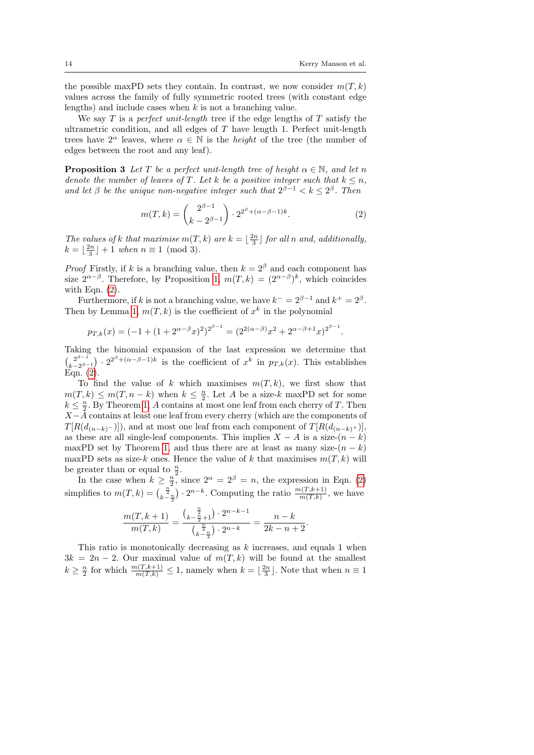the possible maxPD sets they contain. In contrast, we now consider  $m(T, k)$ values across the family of fully symmetric rooted trees (with constant edge lengths) and include cases when k is not a branching value.

We say T is a *perfect unit-length* tree if the edge lengths of T satisfy the ultrametric condition, and all edges of  $T$  have length 1. Perfect unit-length trees have  $2^{\alpha}$  leaves, where  $\alpha \in \mathbb{N}$  is the *height* of the tree (the number of edges between the root and any leaf).

**Proposition 3** Let T be a perfect unit-length tree of height  $\alpha \in \mathbb{N}$ , and let n denote the number of leaves of T. Let k be a positive integer such that  $k \leq n$ , and let  $\beta$  be the unique non-negative integer such that  $2^{\beta-1} < k \leq 2^{\beta}$ . Then

<span id="page-13-0"></span>
$$
m(T,k) = {2^{\beta - 1} \choose k - 2^{\beta - 1}} \cdot 2^{2^{\beta} + (\alpha - \beta - 1)k}.
$$
 (2)

The values of k that maximise  $m(T, k)$  are  $k = \lfloor \frac{2n}{3} \rfloor$  for all n and, additionally,  $k = \lfloor \frac{2n}{3} \rfloor + 1$  when  $n \equiv 1 \pmod{3}$ .

*Proof* Firstly, if k is a branching value, then  $k = 2^{\beta}$  and each component has size  $2^{\alpha-\beta}$ . Therefore, by Proposition [1,](#page-9-0)  $m(T, k) = (2^{\alpha-\beta})^k$ , which coincides with Eqn.  $(2)$ .

Furthermore, if k is not a branching value, we have  $k^- = 2^{\beta - 1}$  and  $k^+ = 2^{\beta}$ . Then by Lemma [1,](#page-9-1)  $m(T, k)$  is the coefficient of  $x<sup>k</sup>$  in the polynomial

$$
p_{T,k}(x) = (-1 + (1 + 2^{\alpha - \beta} x)^2)^{2^{\beta - 1}} = (2^{2(\alpha - \beta)} x^2 + 2^{\alpha - \beta + 1} x)^{2^{\beta - 1}}.
$$

Taking the binomial expansion of the last expression we determine that  $\int_{l_1}^{2\beta-1}$  $\binom{2^{\beta-1}}{k-2^{\beta-1}}\cdot 2^{2^{\beta}+(\alpha-\beta-1)k}$  is the coefficient of  $x^k$  in  $p_{T,k}(x)$ . This establishes Eqn. [\(2\)](#page-13-0).

To find the value of k which maximises  $m(T, k)$ , we first show that  $m(T, k) \leq m(T, n - k)$  when  $k \leq \frac{n}{2}$ . Let A be a size-k maxPD set for some  $k \leq \frac{n}{2}$ . By Theorem [1,](#page-8-0) A contains at most one leaf from each cherry of T. Then  $X-\overline{A}$  contains at least one leaf from every cherry (which are the components of  $T[R(d_{(n-k)}-)]$ , and at most one leaf from each component of  $T[R(d_{(n-k)}+)]$ , as these are all single-leaf components. This implies  $X - A$  is a size- $(n - k)$ maxPD set by Theorem [1,](#page-8-0) and thus there are at least as many size- $(n - k)$ maxPD sets as size-k ones. Hence the value of k that maximises  $m(T, k)$  will be greater than or equal to  $\frac{n}{2}$ .

In the case when  $k \geq \frac{n}{2}$ , since  $2^{\alpha} = 2^{\beta} = n$ , the expression in Eqn. [\(2\)](#page-13-0) simplifies to  $m(T, k) = {(\frac{\frac{n}{2}}{k-\frac{n}{2}}) \cdot 2^{n-k}}$ . Computing the ratio  $\frac{m(T, k+1)}{m(T, k)}$ , we have

$$
\frac{m(T,k+1)}{m(T,k)} = \frac{{k-\frac{n}{2}+1 \choose k-\frac{n}{2}+1} \cdot 2^{n-k-1}}\t{k-\frac{n}{2} \cdot 2^{n-k}} = \frac{n-k}{2k-n+2}.
$$

This ratio is monotonically decreasing as k increases, and equals 1 when  $3k = 2n - 2$ . Our maximal value of  $m(T, k)$  will be found at the smallest  $k \geq \frac{n}{2}$  for which  $\frac{m(T,k+1)}{m(T,k)} \leq 1$ , namely when  $k = \lfloor \frac{2n}{3} \rfloor$ . Note that when  $n \equiv 1$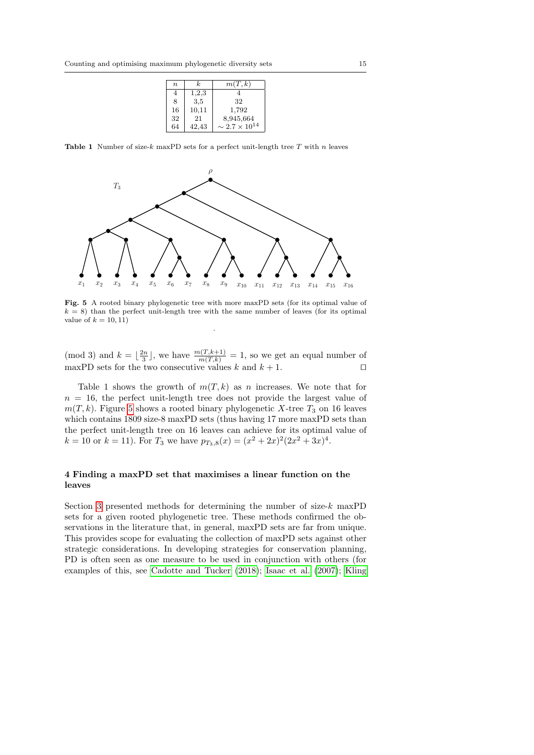| $\boldsymbol{n}$ | k.    | m(T, k)                   |
|------------------|-------|---------------------------|
| 4                | 1,2,3 |                           |
| 8                | 3,5   | 32                        |
| 16               | 10,11 | 1,792                     |
| 32               | 21    | 8,945,664                 |
| 64               | 42,43 | $\sim 2.7 \times 10^{14}$ |

Table 1 Number of size-k maxPD sets for a perfect unit-length tree  $T$  with  $n$  leaves



<span id="page-14-1"></span>Fig. 5 A rooted binary phylogenetic tree with more maxPD sets (for its optimal value of  $k = 8$ ) than the perfect unit-length tree with the same number of leaves (for its optimal value of  $k = 10, 11$ .

(mod 3) and  $k = \lfloor \frac{2n}{3} \rfloor$ , we have  $\frac{m(T, k+1)}{m(T, k)} = 1$ , so we get an equal number of maxPD sets for the two consecutive values k and  $k + 1$ .

Table 1 shows the growth of  $m(T, k)$  as n increases. We note that for  $n = 16$ , the perfect unit-length tree does not provide the largest value of  $m(T, k)$ . Figure [5](#page-14-1) shows a rooted binary phylogenetic X-tree  $T_3$  on 16 leaves which contains 1809 size-8 maxPD sets (thus having 17 more maxPD sets than the perfect unit-length tree on 16 leaves can achieve for its optimal value of  $k = 10$  or  $k = 11$ ). For  $T_3$  we have  $p_{T_3,8}(x) = (x^2 + 2x)^2(2x^2 + 3x)^4$ .

# <span id="page-14-0"></span>4 Finding a maxPD set that maximises a linear function on the leaves

Section [3](#page-4-0) presented methods for determining the number of size- $k$  maxPD sets for a given rooted phylogenetic tree. These methods confirmed the observations in the literature that, in general, maxPD sets are far from unique. This provides scope for evaluating the collection of maxPD sets against other strategic considerations. In developing strategies for conservation planning, PD is often seen as one measure to be used in conjunction with others (for examples of this, see [Cadotte and Tucker](#page-22-4) [\(2018\)](#page-22-4); [Isaac et al.](#page-22-5) [\(2007\)](#page-22-5); [Kling](#page-23-8)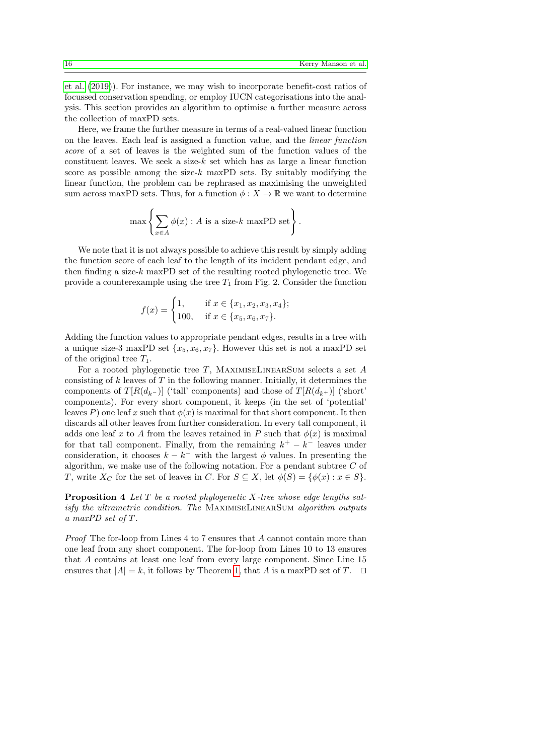[et al.](#page-23-8) [\(2019\)](#page-23-8)). For instance, we may wish to incorporate benefit-cost ratios of focussed conservation spending, or employ IUCN categorisations into the analysis. This section provides an algorithm to optimise a further measure across the collection of maxPD sets.

Here, we frame the further measure in terms of a real-valued linear function on the leaves. Each leaf is assigned a function value, and the linear function score of a set of leaves is the weighted sum of the function values of the constituent leaves. We seek a size- $k$  set which has as large a linear function score as possible among the size- $k$  maxPD sets. By suitably modifying the linear function, the problem can be rephrased as maximising the unweighted sum across maxPD sets. Thus, for a function  $\phi: X \to \mathbb{R}$  we want to determine

$$
\max \left\{ \sum_{x \in A} \phi(x) : A \text{ is a size-}k \text{ maxPD set} \right\}.
$$

We note that it is not always possible to achieve this result by simply adding the function score of each leaf to the length of its incident pendant edge, and then finding a size- $k$  maxPD set of the resulting rooted phylogenetic tree. We provide a counterexample using the tree  $T_1$  from Fig. 2. Consider the function

$$
f(x) = \begin{cases} 1, & \text{if } x \in \{x_1, x_2, x_3, x_4\}; \\ 100, & \text{if } x \in \{x_5, x_6, x_7\}. \end{cases}
$$

Adding the function values to appropriate pendant edges, results in a tree with a unique size-3 maxPD set  $\{x_5, x_6, x_7\}$ . However this set is not a maxPD set of the original tree  $T_1$ .

For a rooted phylogenetic tree T, MAXIMISELINEARSUM selects a set  $A$ consisting of  $k$  leaves of  $T$  in the following manner. Initially, it determines the components of  $T[R(d_{k-})]$  ('tall' components) and those of  $T[R(d_{k+})]$  ('short' components). For every short component, it keeps (in the set of 'potential' leaves P) one leaf x such that  $\phi(x)$  is maximal for that short component. It then discards all other leaves from further consideration. In every tall component, it adds one leaf x to A from the leaves retained in P such that  $\phi(x)$  is maximal for that tall component. Finally, from the remaining  $k^+ - k^-$  leaves under consideration, it chooses  $k - k^-$  with the largest  $\phi$  values. In presenting the algorithm, we make use of the following notation. For a pendant subtree  $C$  of T, write  $X_C$  for the set of leaves in C. For  $S \subseteq X$ , let  $\phi(S) = {\phi(x) : x \in S}$ .

**Proposition 4** Let  $T$  be a rooted phylogenetic  $X$ -tree whose edge lengths satisfy the ultrametric condition. The MAXIMISELINEARSUM algorithm outputs a maxPD set of T.

Proof The for-loop from Lines 4 to 7 ensures that A cannot contain more than one leaf from any short component. The for-loop from Lines 10 to 13 ensures that A contains at least one leaf from every large component. Since Line 15 ensures that  $|A| = k$ , it follows by Theorem [1,](#page-8-0) that A is a maxPD set of T.  $\square$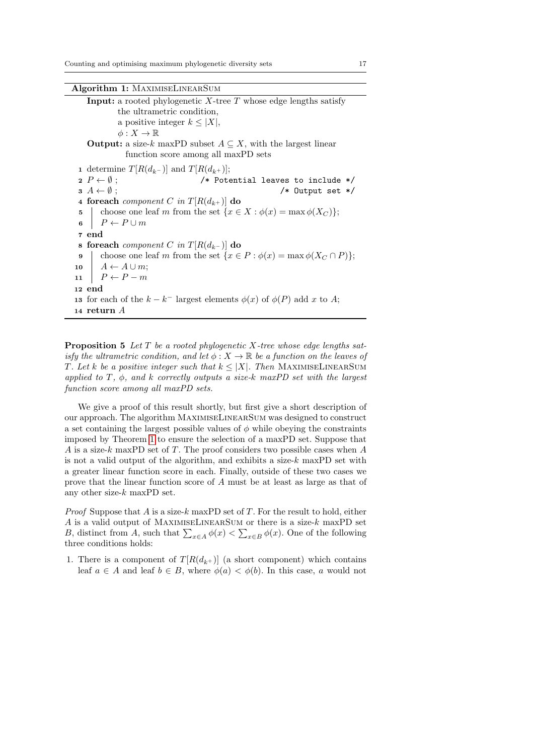Algorithm 1: MaximiseLinearSum

<span id="page-16-0"></span>**Input:** a rooted phylogenetic  $X$ -tree  $T$  whose edge lengths satisfy the ultrametric condition, a positive integer  $k \leq |X|$ ,  $\phi: X \to \mathbb{R}$ **Output:** a size-k maxPD subset  $A \subseteq X$ , with the largest linear function score among all maxPD sets 1 determine  $T[R(d_{k-})]$  and  $T[R(d_{k+})]$ ;  $2 P \leftarrow \emptyset$ ;  $\rightarrow$  /\* Potential leaves to include \*/  $3 A \leftarrow \emptyset$ ; /\* Output set \*/ 4 foreach *component* C in  $T[R(d_{k+})]$  do 5 choose one leaf m from the set  $\{x \in X : \phi(x) = \max \phi(X_C)\};$ 6  $P \leftarrow P \cup m$ 7 end 8 foreach component C in  $T[R(d_{k-})]$  do 9 choose one leaf m from the set  $\{x \in P : \phi(x) = \max \phi(X_C \cap P)\};$ 10  $A \leftarrow A \cup m$ ; 11  $P \leftarrow P - m$ 12 end 13 for each of the  $k - k^-$  largest elements  $\phi(x)$  of  $\phi(P)$  add x to A; 14 return A

**Proposition 5** Let  $T$  be a rooted phylogenetic  $X$ -tree whose edge lengths satisfy the ultrametric condition, and let  $\phi: X \to \mathbb{R}$  be a function on the leaves of T. Let k be a positive integer such that  $k \leq |X|$ . Then MAXIMISELINEARSUM applied to  $T$ ,  $\phi$ , and  $k$  correctly outputs a size-k maxPD set with the largest function score among all maxPD sets.

We give a proof of this result shortly, but first give a short description of our approach. The algorithm MaximiseLinearSum was designed to construct a set containing the largest possible values of  $\phi$  while obeying the constraints imposed by Theorem [1](#page-8-0) to ensure the selection of a maxPD set. Suppose that A is a size-k maxPD set of T. The proof considers two possible cases when  $A$ is not a valid output of the algorithm, and exhibits a size- $k$  maxPD set with a greater linear function score in each. Finally, outside of these two cases we prove that the linear function score of A must be at least as large as that of any other size-k maxPD set.

*Proof* Suppose that  $A$  is a size- $k$  maxPD set of  $T$ . For the result to hold, either  $A$  is a valid output of MAXIMISELINEARSUM or there is a size- $k$  maxPD set B, distinct from A, such that  $\sum_{x \in A} \phi(x) < \sum_{x \in B} \phi(x)$ . One of the following three conditions holds:

1. There is a component of  $T[R(d_{k+})]$  (a short component) which contains leaf  $a \in A$  and leaf  $b \in B$ , where  $\phi(a) < \phi(b)$ . In this case, a would not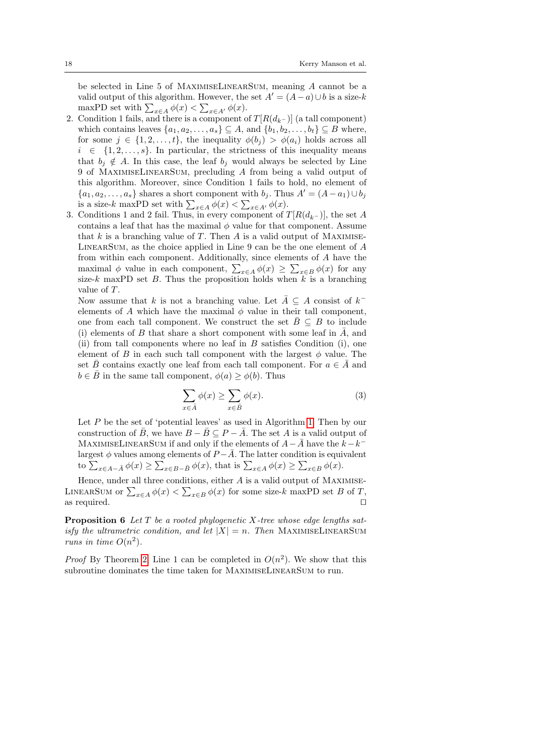be selected in Line 5 of MaximiseLinearSum, meaning A cannot be a valid output of this algorithm. However, the set  $A' = (A - a) \cup b$  is a size-k maxPD set with  $\sum_{x \in A} \phi(x) < \sum_{x \in A'} \phi(x)$ .

- 2. Condition 1 fails, and there is a component of  $T[R(d_{k-})]$  (a tall component) which contains leaves  $\{a_1, a_2, \ldots, a_s\} \subseteq A$ , and  $\{b_1, b_2, \ldots, b_t\} \subseteq B$  where, for some  $j \in \{1, 2, \ldots, t\}$ , the inequality  $\phi(b_i) > \phi(a_i)$  holds across all  $i \in \{1, 2, \ldots, s\}$ . In particular, the strictness of this inequality means that  $b_i \notin A$ . In this case, the leaf  $b_j$  would always be selected by Line 9 of MaximiseLinearSum, precluding A from being a valid output of this algorithm. Moreover, since Condition 1 fails to hold, no element of  ${a_1, a_2, \ldots, a_s}$  shares a short component with  $b_i$ . Thus  $A' = (A - a_1) \cup b_i$ is a size-k maxPD set with  $\sum_{x \in A} \phi(x) < \sum_{x \in A'} \phi(x)$ .
- 3. Conditions 1 and 2 fail. Thus, in every component of  $T[R(d_{k-})]$ , the set A contains a leaf that has the maximal  $\phi$  value for that component. Assume that  $k$  is a branching value of  $T$ . Then  $A$  is a valid output of MAXIMISE- $LINEARSUM$ , as the choice applied in Line 9 can be the one element of  $A$ from within each component. Additionally, since elements of A have the maximal  $\phi$  value in each component,  $\sum_{x \in A} \phi(x) \geq \sum_{x \in B} \phi(x)$  for any size-k maxPD set B. Thus the proposition holds when  $k$  is a branching value of T.

Now assume that k is not a branching value. Let  $\overline{A} \subseteq A$  consist of  $k^$ elements of A which have the maximal  $\phi$  value in their tall component, one from each tall component. We construct the set  $\bar{B} \subseteq B$  to include (i) elements of B that share a short component with some leaf in  $\overline{A}$ , and (ii) from tall components where no leaf in  $B$  satisfies Condition (i), one element of B in each such tall component with the largest  $\phi$  value. The set  $\bar{B}$  contains exactly one leaf from each tall component. For  $a \in \bar{A}$  and  $b \in \overline{B}$  in the same tall component,  $\phi(a) \geq \phi(b)$ . Thus

$$
\sum_{x \in \bar{A}} \phi(x) \ge \sum_{x \in \bar{B}} \phi(x). \tag{3}
$$

Let P be the set of 'potential leaves' as used in Algorithm [1.](#page-16-0) Then by our construction of  $\bar{B}$ , we have  $B - \bar{B} \subseteq P - \bar{A}$ . The set A is a valid output of MAXIMISELINEARSUM if and only if the elements of  $A-\overline{A}$  have the  $k-k^$ largest  $\phi$  values among elements of  $P - \overline{A}$ . The latter condition is equivalent to  $\sum_{x \in A - \bar{A}} \phi(x) \geq \sum_{x \in B - \bar{B}} \phi(x)$ , that is  $\sum_{x \in A} \phi(x) \geq \sum_{x \in B} \phi(x)$ .

Hence, under all three conditions, either  $A$  is a valid output of MAXIMISE-LINEARSUM or  $\sum_{x \in A} \phi(x) < \sum_{x \in B} \phi(x)$  for some size-k maxPD set B of T, as required.  $\Box$ 

**Proposition 6** Let  $T$  be a rooted phylogenetic  $X$ -tree whose edge lengths satisfy the ultrametric condition, and let  $|X| = n$ . Then MAXIMISELINEARSUM runs in time  $O(n^2)$ .

*Proof* By Theorem [2,](#page-10-0) Line 1 can be completed in  $O(n^2)$ . We show that this subroutine dominates the time taken for MaximiseLinearSum to run.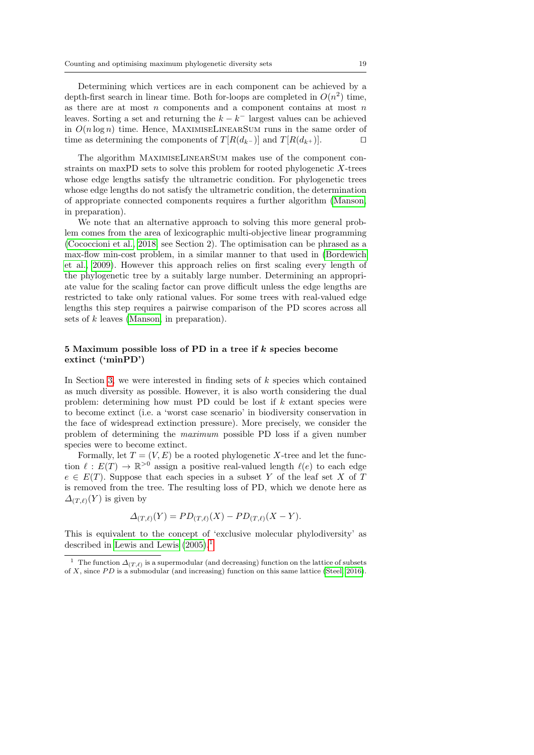Determining which vertices are in each component can be achieved by a depth-first search in linear time. Both for-loops are completed in  $O(n^2)$  time, as there are at most  $n$  components and a component contains at most  $n$ leaves. Sorting a set and returning the  $k - k^-$  largest values can be achieved in  $O(n \log n)$  time. Hence, MAXIMISELINEARSUM runs in the same order of time as determining the components of  $T[R(d_{k-})]$  and  $T[R(d_{k+})]$ .

The algorithm MaximiseLinearSum makes use of the component constraints on maxPD sets to solve this problem for rooted phylogenetic X-trees whose edge lengths satisfy the ultrametric condition. For phylogenetic trees whose edge lengths do not satisfy the ultrametric condition, the determination of appropriate connected components requires a further algorithm [\(Manson,](#page-23-9) in preparation).

We note that an alternative approach to solving this more general problem comes from the area of lexicographic multi-objective linear programming [\(Cococcioni et al., 2018,](#page-22-6) see Section 2). The optimisation can be phrased as a max-flow min-cost problem, in a similar manner to that used in [\(Bordewich](#page-22-7) [et al., 2009\)](#page-22-7). However this approach relies on first scaling every length of the phylogenetic tree by a suitably large number. Determining an appropriate value for the scaling factor can prove difficult unless the edge lengths are restricted to take only rational values. For some trees with real-valued edge lengths this step requires a pairwise comparison of the PD scores across all sets of k leaves [\(Manson,](#page-23-9) in preparation).

# <span id="page-18-0"></span>5 Maximum possible loss of PD in a tree if k species become extinct ('minPD')

In Section [3,](#page-4-0) we were interested in finding sets of  $k$  species which contained as much diversity as possible. However, it is also worth considering the dual problem: determining how must PD could be lost if k extant species were to become extinct (i.e. a 'worst case scenario' in biodiversity conservation in the face of widespread extinction pressure). More precisely, we consider the problem of determining the maximum possible PD loss if a given number species were to become extinct.

Formally, let  $T = (V, E)$  be a rooted phylogenetic X-tree and let the function  $\ell : E(T) \to \mathbb{R}^{>0}$  assign a positive real-valued length  $\ell(e)$  to each edge  $e \in E(T)$ . Suppose that each species in a subset Y of the leaf set X of T is removed from the tree. The resulting loss of PD, which we denote here as  $\Delta_{(T,\ell)}(Y)$  is given by

$$
\Delta_{(T,\ell)}(Y) = PD_{(T,\ell)}(X) - PD_{(T,\ell)}(X - Y).
$$

This is equivalent to the concept of 'exclusive molecular phylodiversity' as described in [Lewis and Lewis](#page-23-10) [\(2005\)](#page-23-10).[1](#page-18-1)

<span id="page-18-1"></span><sup>&</sup>lt;sup>1</sup> The function  $\Delta_{(T,\ell)}$  is a supermodular (and decreasing) function on the lattice of subsets of X, since  $PD$  is a submodular (and increasing) function on this same lattice [\(Steel, 2016\)](#page-23-7).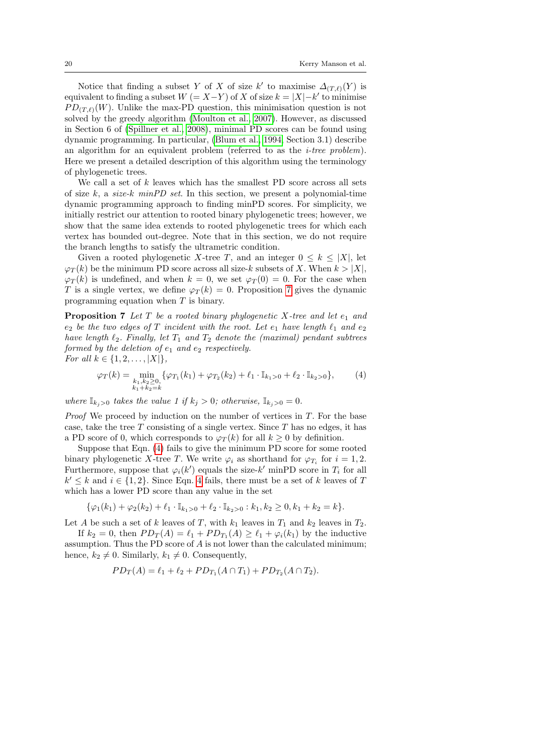Notice that finding a subset Y of X of size  $k'$  to maximise  $\Delta_{(T,\ell)}(Y)$  is equivalent to finding a subset  $W = X - Y$  of X of size  $k = |X| - k'$  to minimise  $PD_{(T,\ell)}(W)$ . Unlike the max-PD question, this minimisation question is not solved by the greedy algorithm [\(Moulton et al., 2007\)](#page-23-11). However, as discussed in Section 6 of [\(Spillner et al., 2008\)](#page-23-12), minimal PD scores can be found using dynamic programming. In particular, [\(Blum et al., 1994,](#page-22-8) Section 3.1) describe an algorithm for an equivalent problem (referred to as the i-tree problem). Here we present a detailed description of this algorithm using the terminology of phylogenetic trees.

We call a set of  $k$  leaves which has the smallest PD score across all sets of size k, a size-k minPD set. In this section, we present a polynomial-time dynamic programming approach to finding minPD scores. For simplicity, we initially restrict our attention to rooted binary phylogenetic trees; however, we show that the same idea extends to rooted phylogenetic trees for which each vertex has bounded out-degree. Note that in this section, we do not require the branch lengths to satisfy the ultrametric condition.

Given a rooted phylogenetic X-tree T, and an integer  $0 \leq k \leq |X|$ , let  $\varphi_T(k)$  be the minimum PD score across all size-k subsets of X. When  $k > |X|$ ,  $\varphi_T(k)$  is undefined, and when  $k = 0$ , we set  $\varphi_T(0) = 0$ . For the case when T is a single vertex, we define  $\varphi_T(k) = 0$ . Proposition [7](#page-19-0) gives the dynamic programming equation when T is binary.

<span id="page-19-0"></span>**Proposition 7** Let T be a rooted binary phylogenetic X-tree and let  $e_1$  and  $e_2$  be the two edges of T incident with the root. Let  $e_1$  have length  $\ell_1$  and  $e_2$ have length  $\ell_2$ . Finally, let  $T_1$  and  $T_2$  denote the (maximal) pendant subtrees formed by the deletion of  $e_1$  and  $e_2$  respectively. For all  $k \in \{1, 2, ..., |X|\},$ 

<span id="page-19-1"></span>
$$
\varphi_T(k) = \min_{\substack{k_1, k_2 \ge 0, \\ k_1 + k_2 = k}} \{ \varphi_{T_1}(k_1) + \varphi_{T_2}(k_2) + \ell_1 \cdot \mathbb{I}_{k_1 > 0} + \ell_2 \cdot \mathbb{I}_{k_2 > 0} \},\tag{4}
$$

where  $\mathbb{I}_{k_i>0}$  takes the value 1 if  $k_j>0$ ; otherwise,  $\mathbb{I}_{k_i>0}=0$ .

*Proof* We proceed by induction on the number of vertices in  $T$ . For the base case, take the tree  $T$  consisting of a single vertex. Since  $T$  has no edges, it has a PD score of 0, which corresponds to  $\varphi_T(k)$  for all  $k > 0$  by definition.

Suppose that Eqn. [\(4\)](#page-19-1) fails to give the minimum PD score for some rooted binary phylogenetic X-tree T. We write  $\varphi_i$  as shorthand for  $\varphi_{T_i}$  for  $i = 1, 2$ . Furthermore, suppose that  $\varphi_i(k')$  equals the size- $k'$  minPD score in  $T_i$  for all  $k' \leq k$  and  $i \in \{1, 2\}$ . Since Eqn. [4](#page-19-1) fails, there must be a set of k leaves of T which has a lower PD score than any value in the set

$$
\{\varphi_1(k_1) + \varphi_2(k_2) + \ell_1 \cdot \mathbb{I}_{k_1>0} + \ell_2 \cdot \mathbb{I}_{k_2>0} : k_1, k_2 \ge 0, k_1 + k_2 = k\}.
$$

Let A be such a set of k leaves of T, with  $k_1$  leaves in  $T_1$  and  $k_2$  leaves in  $T_2$ .

If  $k_2 = 0$ , then  $PD_T(A) = \ell_1 + PD_{T_1}(A) \geq \ell_1 + \varphi_i(k_1)$  by the inductive assumption. Thus the PD score of A is not lower than the calculated minimum; hence,  $k_2 \neq 0$ . Similarly,  $k_1 \neq 0$ . Consequently,

$$
PD_T(A) = \ell_1 + \ell_2 + PD_{T_1}(A \cap T_1) + PD_{T_2}(A \cap T_2).
$$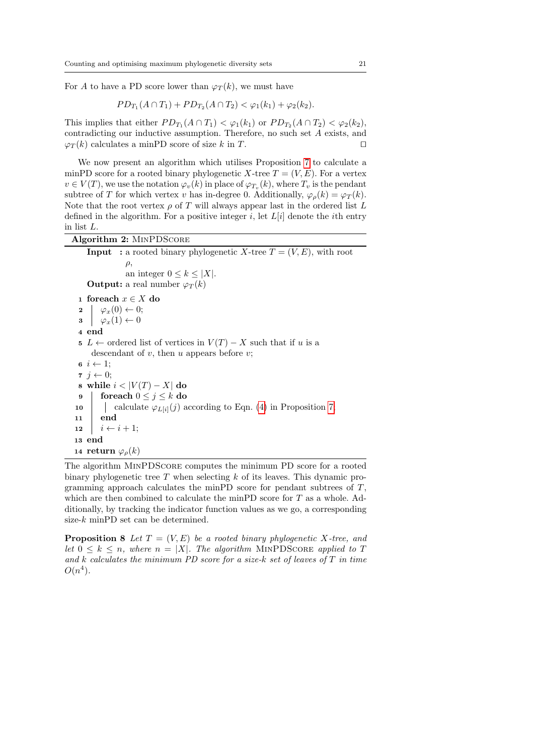For A to have a PD score lower than  $\varphi_T(k)$ , we must have

$$
PD_{T_1}(A \cap T_1) + PD_{T_2}(A \cap T_2) < \varphi_1(k_1) + \varphi_2(k_2).
$$

This implies that either  $PD_{T_1}(A \cap T_1) < \varphi_1(k_1)$  or  $PD_{T_2}(A \cap T_2) < \varphi_2(k_2)$ , contradicting our inductive assumption. Therefore, no such set A exists, and  $\varphi_T(k)$  calculates a minPD score of size k in T.

We now present an algorithm which utilises Proposition [7](#page-19-0) to calculate a minPD score for a rooted binary phylogenetic X-tree  $T = (V, E)$ . For a vertex  $v \in V(T)$ , we use the notation  $\varphi_v(k)$  in place of  $\varphi_{T_v}(k)$ , where  $T_v$  is the pendant subtree of T for which vertex v has in-degree 0. Additionally,  $\varphi_o(k) = \varphi_T(k)$ . Note that the root vertex  $\rho$  of T will always appear last in the ordered list L defined in the algorithm. For a positive integer i, let  $L[i]$  denote the *i*th entry in list L.

### Algorithm 2: MinPDScore

**Input**: a rooted binary phylogenetic X-tree  $T = (V, E)$ , with root  $\rho$ . an integer  $0 \leq k \leq |X|$ . **Output:** a real number  $\varphi_T(k)$ <sup>1</sup> foreach x ∈ X do  $2 | \varphi_x(0) \leftarrow 0;$  $\mathbf{3} \mid \varphi_x(1) \leftarrow 0$ 4 end 5 L ← ordered list of vertices in  $V(T) - X$  such that if u is a descendant of  $v$ , then  $u$  appears before  $v$ ;  $\mathbf{6}$   $i \leftarrow 1$ ;  $\tau j \leftarrow 0;$ 8 while  $i < |V(T) - X|$  do 9 foreach  $0 \leq j \leq k$  do 10 | calculate  $\varphi_{L[i]}(j)$  according to Eqn. [\(4\)](#page-19-1) in Proposition [7;](#page-19-0) 11 end 12  $i \leftarrow i + 1$ ; 13 end 14 return  $\varphi_{\rho}(k)$ 

The algorithm MinPDScore computes the minimum PD score for a rooted binary phylogenetic tree  $T$  when selecting  $k$  of its leaves. This dynamic programming approach calculates the minPD score for pendant subtrees of  $T$ , which are then combined to calculate the minPD score for  $T$  as a whole. Additionally, by tracking the indicator function values as we go, a corresponding size-k minPD set can be determined.

**Proposition 8** Let  $T = (V, E)$  be a rooted binary phylogenetic X-tree, and let  $0 \leq k \leq n$ , where  $n = |X|$ . The algorithm MINPDSCORE applied to T and k calculates the minimum PD score for a size-k set of leaves of  $T$  in time  $O(n^4)$ .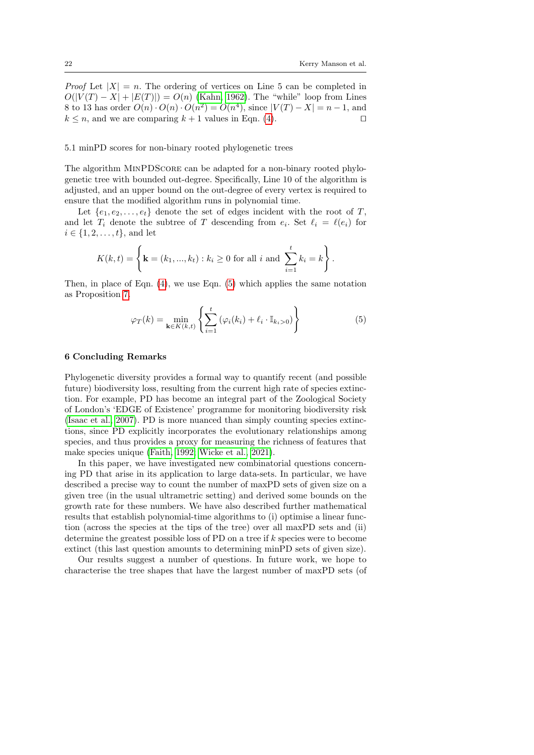*Proof* Let  $|X| = n$ . The ordering of vertices on Line 5 can be completed in  $O(|V(T) - X| + |E(T)|) = O(n)$  [\(Kahn, 1962\)](#page-23-13). The "while" loop from Lines 8 to 13 has order  $O(n) \cdot O(n) \cdot O(n^2) = O(n^4)$ , since  $|V(T) - X| = n - 1$ , and  $k \leq n$ , and we are comparing  $k + 1$  values in Eqn. [\(4\)](#page-19-1).

### 5.1 minPD scores for non-binary rooted phylogenetic trees

The algorithm MINPDSCORE can be adapted for a non-binary rooted phylogenetic tree with bounded out-degree. Specifically, Line 10 of the algorithm is adjusted, and an upper bound on the out-degree of every vertex is required to ensure that the modified algorithm runs in polynomial time.

Let  $\{e_1, e_2, \ldots, e_t\}$  denote the set of edges incident with the root of T, and let  $T_i$  denote the subtree of T descending from  $e_i$ . Set  $\ell_i = \ell(e_i)$  for  $i \in \{1, 2, ..., t\}$ , and let

$$
K(k,t) = \left\{ \mathbf{k} = (k_1, ..., k_t) : k_i \ge 0 \text{ for all } i \text{ and } \sum_{i=1}^t k_i = k \right\}.
$$

Then, in place of Eqn.  $(4)$ , we use Eqn.  $(5)$  which applies the same notation as Proposition [7.](#page-19-0)

<span id="page-21-0"></span>
$$
\varphi_T(k) = \min_{\mathbf{k} \in K(k,t)} \left\{ \sum_{i=1}^t \left( \varphi_i(k_i) + \ell_i \cdot \mathbb{I}_{k_i > 0} \right) \right\} \tag{5}
$$

### 6 Concluding Remarks

Phylogenetic diversity provides a formal way to quantify recent (and possible future) biodiversity loss, resulting from the current high rate of species extinction. For example, PD has become an integral part of the Zoological Society of London's 'EDGE of Existence' programme for monitoring biodiversity risk [\(Isaac et al., 2007\)](#page-22-5). PD is more nuanced than simply counting species extinctions, since PD explicitly incorporates the evolutionary relationships among species, and thus provides a proxy for measuring the richness of features that make species unique [\(Faith, 1992;](#page-22-2) [Wicke et al., 2021\)](#page-23-14).

In this paper, we have investigated new combinatorial questions concerning PD that arise in its application to large data-sets. In particular, we have described a precise way to count the number of maxPD sets of given size on a given tree (in the usual ultrametric setting) and derived some bounds on the growth rate for these numbers. We have also described further mathematical results that establish polynomial-time algorithms to (i) optimise a linear function (across the species at the tips of the tree) over all maxPD sets and (ii) determine the greatest possible loss of PD on a tree if k species were to become extinct (this last question amounts to determining minPD sets of given size).

Our results suggest a number of questions. In future work, we hope to characterise the tree shapes that have the largest number of maxPD sets (of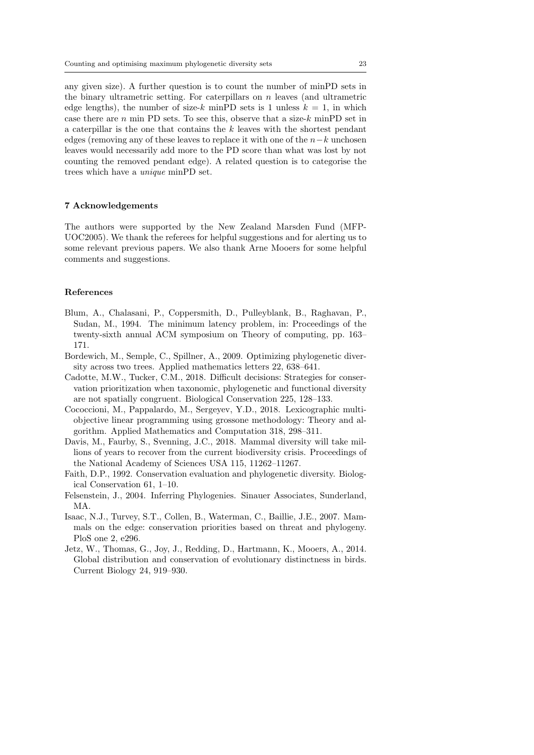any given size). A further question is to count the number of minPD sets in the binary ultrametric setting. For caterpillars on  $n$  leaves (and ultrametric edge lengths), the number of size-k minPD sets is 1 unless  $k = 1$ , in which case there are  $n$  min PD sets. To see this, observe that a size- $k$  minPD set in a caterpillar is the one that contains the  $k$  leaves with the shortest pendant edges (removing any of these leaves to replace it with one of the  $n-k$  unchosen leaves would necessarily add more to the PD score than what was lost by not counting the removed pendant edge). A related question is to categorise the trees which have a unique minPD set.

### 7 Acknowledgements

The authors were supported by the New Zealand Marsden Fund (MFP-UOC2005). We thank the referees for helpful suggestions and for alerting us to some relevant previous papers. We also thank Arne Mooers for some helpful comments and suggestions.

# References

- <span id="page-22-8"></span>Blum, A., Chalasani, P., Coppersmith, D., Pulleyblank, B., Raghavan, P., Sudan, M., 1994. The minimum latency problem, in: Proceedings of the twenty-sixth annual ACM symposium on Theory of computing, pp. 163– 171.
- <span id="page-22-7"></span>Bordewich, M., Semple, C., Spillner, A., 2009. Optimizing phylogenetic diversity across two trees. Applied mathematics letters 22, 638–641.
- <span id="page-22-4"></span>Cadotte, M.W., Tucker, C.M., 2018. Difficult decisions: Strategies for conservation prioritization when taxonomic, phylogenetic and functional diversity are not spatially congruent. Biological Conservation 225, 128–133.
- <span id="page-22-6"></span>Cococcioni, M., Pappalardo, M., Sergeyev, Y.D., 2018. Lexicographic multiobjective linear programming using grossone methodology: Theory and algorithm. Applied Mathematics and Computation 318, 298–311.
- <span id="page-22-1"></span>Davis, M., Faurby, S., Svenning, J.C., 2018. Mammal diversity will take millions of years to recover from the current biodiversity crisis. Proceedings of the National Academy of Sciences USA 115, 11262–11267.
- <span id="page-22-2"></span>Faith, D.P., 1992. Conservation evaluation and phylogenetic diversity. Biological Conservation 61, 1–10.
- <span id="page-22-3"></span>Felsenstein, J., 2004. Inferring Phylogenies. Sinauer Associates, Sunderland, MA.
- <span id="page-22-5"></span>Isaac, N.J., Turvey, S.T., Collen, B., Waterman, C., Baillie, J.E., 2007. Mammals on the edge: conservation priorities based on threat and phylogeny. PloS one 2, e296.
- <span id="page-22-0"></span>Jetz, W., Thomas, G., Joy, J., Redding, D., Hartmann, K., Mooers, A., 2014. Global distribution and conservation of evolutionary distinctness in birds. Current Biology 24, 919–930.